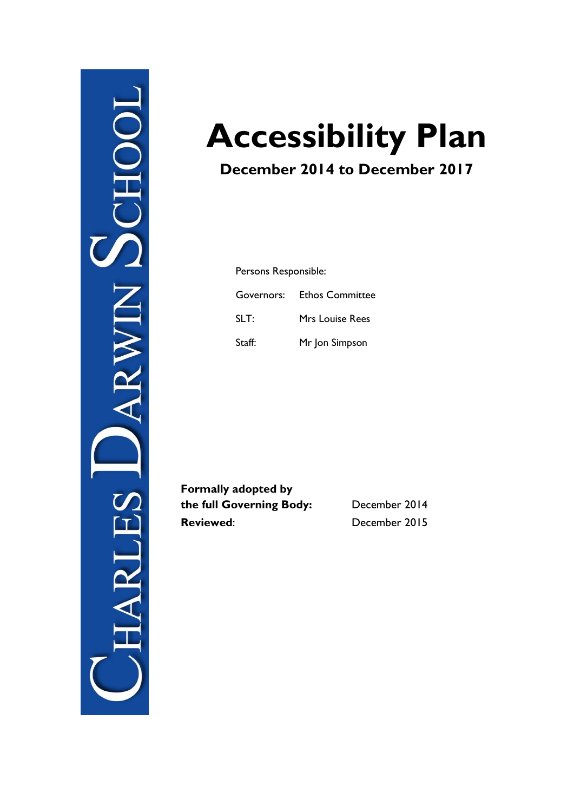

# **Accessibility Plan**

# **December 2014 to December 2017**

Persons Responsible: Governors: Ethos Committee SLT: Mrs Louise Rees Staff: Mr Jon Simpson

**Formally adopted by the full Governing Body:** December 2014 **Reviewed**: December 2015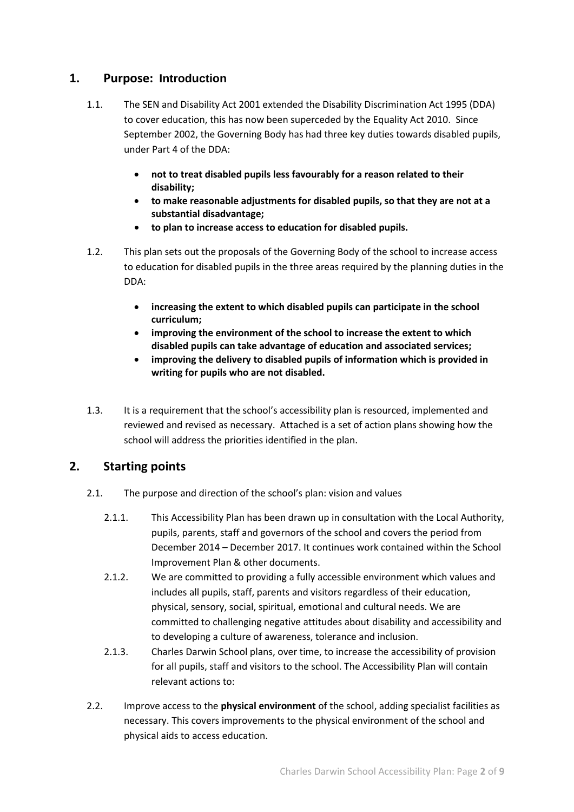## **1. Purpose: Introduction**

- 1.1. The SEN and Disability Act 2001 extended the Disability Discrimination Act 1995 (DDA) to cover education, this has now been superceded by the Equality Act 2010. Since September 2002, the Governing Body has had three key duties towards disabled pupils, under Part 4 of the DDA:
	- **not to treat disabled pupils less favourably for a reason related to their disability;**
	- **to make reasonable adjustments for disabled pupils, so that they are not at a substantial disadvantage;**
	- **to plan to increase access to education for disabled pupils.**
- 1.2. This plan sets out the proposals of the Governing Body of the school to increase access to education for disabled pupils in the three areas required by the planning duties in the DDA:
	- **increasing the extent to which disabled pupils can participate in the school curriculum;**
	- **improving the environment of the school to increase the extent to which disabled pupils can take advantage of education and associated services;**
	- **improving the delivery to disabled pupils of information which is provided in writing for pupils who are not disabled.**
- 1.3. It is a requirement that the school's accessibility plan is resourced, implemented and reviewed and revised as necessary. Attached is a set of action plans showing how the school will address the priorities identified in the plan.

# **2. Starting points**

- 2.1. The purpose and direction of the school's plan: vision and values
	- 2.1.1. This Accessibility Plan has been drawn up in consultation with the Local Authority, pupils, parents, staff and governors of the school and covers the period from December 2014 – December 2017. It continues work contained within the School Improvement Plan & other documents.
	- 2.1.2. We are committed to providing a fully accessible environment which values and includes all pupils, staff, parents and visitors regardless of their education, physical, sensory, social, spiritual, emotional and cultural needs. We are committed to challenging negative attitudes about disability and accessibility and to developing a culture of awareness, tolerance and inclusion.
	- 2.1.3. Charles Darwin School plans, over time, to increase the accessibility of provision for all pupils, staff and visitors to the school. The Accessibility Plan will contain relevant actions to:
- 2.2. Improve access to the **physical environment** of the school, adding specialist facilities as necessary. This covers improvements to the physical environment of the school and physical aids to access education.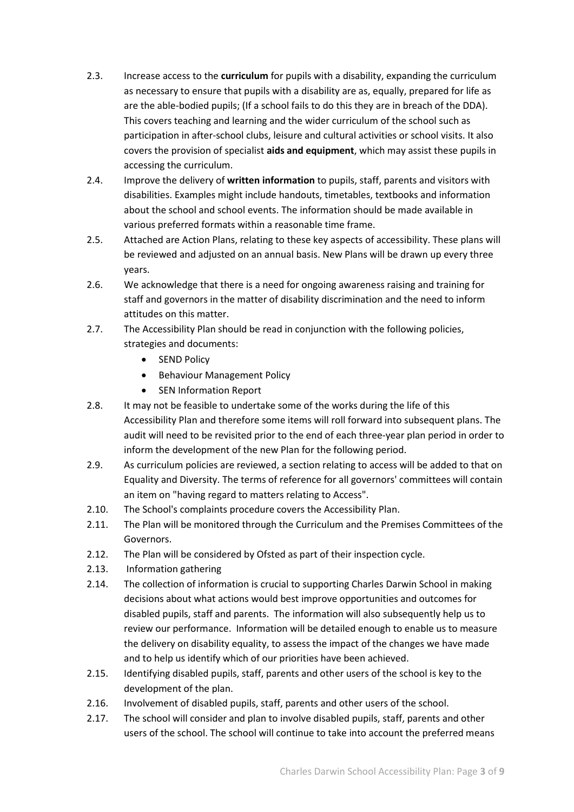- 2.3. Increase access to the **curriculum** for pupils with a disability, expanding the curriculum as necessary to ensure that pupils with a disability are as, equally, prepared for life as are the able-bodied pupils; (If a school fails to do this they are in breach of the DDA). This covers teaching and learning and the wider curriculum of the school such as participation in after-school clubs, leisure and cultural activities or school visits. It also covers the provision of specialist **aids and equipment**, which may assist these pupils in accessing the curriculum.
- 2.4. Improve the delivery of **written information** to pupils, staff, parents and visitors with disabilities. Examples might include handouts, timetables, textbooks and information about the school and school events. The information should be made available in various preferred formats within a reasonable time frame.
- 2.5. Attached are Action Plans, relating to these key aspects of accessibility. These plans will be reviewed and adjusted on an annual basis. New Plans will be drawn up every three years.
- 2.6. We acknowledge that there is a need for ongoing awareness raising and training for staff and governors in the matter of disability discrimination and the need to inform attitudes on this matter.
- 2.7. The Accessibility Plan should be read in conjunction with the following policies, strategies and documents:
	- SEND Policy
	- **•** Behaviour Management Policy
	- SEN Information Report
- 2.8. It may not be feasible to undertake some of the works during the life of this Accessibility Plan and therefore some items will roll forward into subsequent plans. The audit will need to be revisited prior to the end of each three-year plan period in order to inform the development of the new Plan for the following period.
- 2.9. As curriculum policies are reviewed, a section relating to access will be added to that on Equality and Diversity. The terms of reference for all governors' committees will contain an item on "having regard to matters relating to Access".
- 2.10. The School's complaints procedure covers the Accessibility Plan.
- 2.11. The Plan will be monitored through the Curriculum and the Premises Committees of the Governors.
- 2.12. The Plan will be considered by Ofsted as part of their inspection cycle.
- 2.13. Information gathering
- 2.14. The collection of information is crucial to supporting Charles Darwin School in making decisions about what actions would best improve opportunities and outcomes for disabled pupils, staff and parents. The information will also subsequently help us to review our performance. Information will be detailed enough to enable us to measure the delivery on disability equality, to assess the impact of the changes we have made and to help us identify which of our priorities have been achieved.
- 2.15. Identifying disabled pupils, staff, parents and other users of the school is key to the development of the plan.
- 2.16. Involvement of disabled pupils, staff, parents and other users of the school.
- 2.17. The school will consider and plan to involve disabled pupils, staff, parents and other users of the school. The school will continue to take into account the preferred means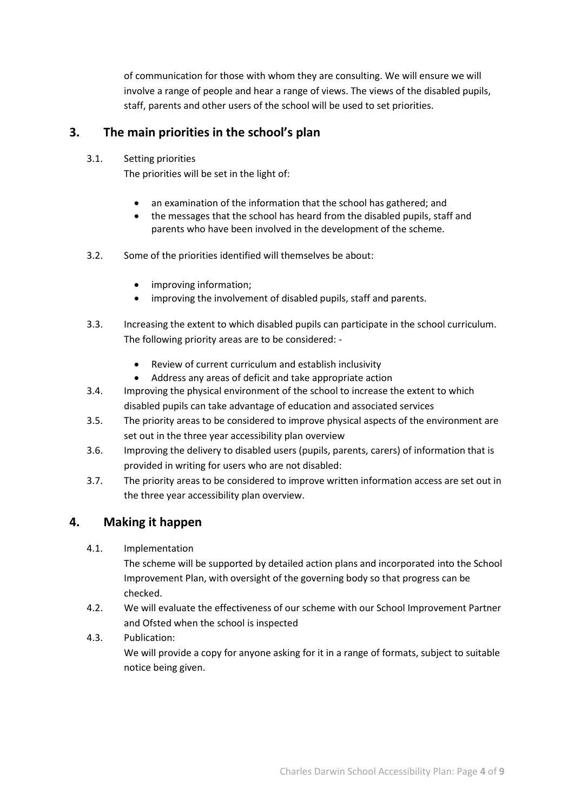of communication for those with whom they are consulting. We will ensure we will involve a range of people and hear a range of views. The views of the disabled pupils, staff, parents and other users of the school will be used to set priorities.

# **3. The main priorities in the school's plan**

3.1. Setting priorities

The priorities will be set in the light of:

- an examination of the information that the school has gathered; and
- the messages that the school has heard from the disabled pupils, staff and parents who have been involved in the development of the scheme.
- 3.2. Some of the priorities identified will themselves be about:
	- improving information;
	- improving the involvement of disabled pupils, staff and parents.
- 3.3. Increasing the extent to which disabled pupils can participate in the school curriculum. The following priority areas are to be considered: -
	- Review of current curriculum and establish inclusivity
	- Address any areas of deficit and take appropriate action
- 3.4. Improving the physical environment of the school to increase the extent to which disabled pupils can take advantage of education and associated services
- 3.5. The priority areas to be considered to improve physical aspects of the environment are set out in the three year accessibility plan overview
- 3.6. Improving the delivery to disabled users (pupils, parents, carers) of information that is provided in writing for users who are not disabled:
- 3.7. The priority areas to be considered to improve written information access are set out in the three year accessibility plan overview.

# **4. Making it happen**

4.1. Implementation

The scheme will be supported by detailed action plans and incorporated into the School Improvement Plan, with oversight of the governing body so that progress can be checked.

4.2. We will evaluate the effectiveness of our scheme with our School Improvement Partner and Ofsted when the school is inspected

#### 4.3. Publication:

We will provide a copy for anyone asking for it in a range of formats, subject to suitable notice being given.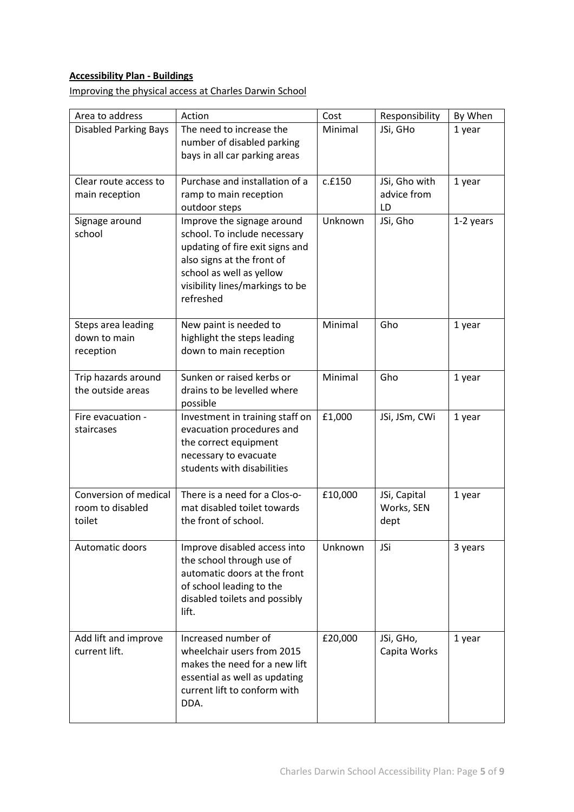# **Accessibility Plan - Buildings**

Improving the physical access at Charles Darwin School

| Area to address              | Action                                                        | Cost    | Responsibility | By When   |
|------------------------------|---------------------------------------------------------------|---------|----------------|-----------|
| <b>Disabled Parking Bays</b> | The need to increase the                                      | Minimal | JSi, GHo       | 1 year    |
|                              | number of disabled parking                                    |         |                |           |
|                              | bays in all car parking areas                                 |         |                |           |
|                              |                                                               |         |                |           |
| Clear route access to        | Purchase and installation of a                                | c.f150  | JSi, Gho with  | 1 year    |
| main reception               | ramp to main reception                                        |         | advice from    |           |
|                              | outdoor steps                                                 |         | LD             |           |
| Signage around               | Improve the signage around                                    | Unknown | JSi, Gho       | 1-2 years |
| school                       | school. To include necessary                                  |         |                |           |
|                              | updating of fire exit signs and<br>also signs at the front of |         |                |           |
|                              | school as well as yellow                                      |         |                |           |
|                              | visibility lines/markings to be                               |         |                |           |
|                              | refreshed                                                     |         |                |           |
|                              |                                                               |         |                |           |
| Steps area leading           | New paint is needed to                                        | Minimal | Gho            | 1 year    |
| down to main                 | highlight the steps leading                                   |         |                |           |
| reception                    | down to main reception                                        |         |                |           |
|                              |                                                               |         |                |           |
| Trip hazards around          | Sunken or raised kerbs or                                     | Minimal | Gho            | 1 year    |
| the outside areas            | drains to be levelled where                                   |         |                |           |
|                              | possible                                                      |         |                |           |
| Fire evacuation -            | Investment in training staff on                               | £1,000  | JSi, JSm, CWi  | 1 year    |
| staircases                   | evacuation procedures and                                     |         |                |           |
|                              | the correct equipment                                         |         |                |           |
|                              | necessary to evacuate                                         |         |                |           |
|                              | students with disabilities                                    |         |                |           |
| Conversion of medical        | There is a need for a Clos-o-                                 | £10,000 | JSi, Capital   | 1 year    |
| room to disabled             | mat disabled toilet towards                                   |         | Works, SEN     |           |
| toilet                       | the front of school.                                          |         | dept           |           |
|                              |                                                               |         |                |           |
| Automatic doors              | Improve disabled access into                                  | Unknown | JSi            | 3 years   |
|                              | the school through use of                                     |         |                |           |
|                              | automatic doors at the front                                  |         |                |           |
|                              | of school leading to the                                      |         |                |           |
|                              | disabled toilets and possibly                                 |         |                |           |
|                              | lift.                                                         |         |                |           |
|                              |                                                               |         |                |           |
| Add lift and improve         | Increased number of                                           | £20,000 | JSi, GHo,      | 1 year    |
| current lift.                | wheelchair users from 2015                                    |         | Capita Works   |           |
|                              | makes the need for a new lift                                 |         |                |           |
|                              | essential as well as updating<br>current lift to conform with |         |                |           |
|                              | DDA.                                                          |         |                |           |
|                              |                                                               |         |                |           |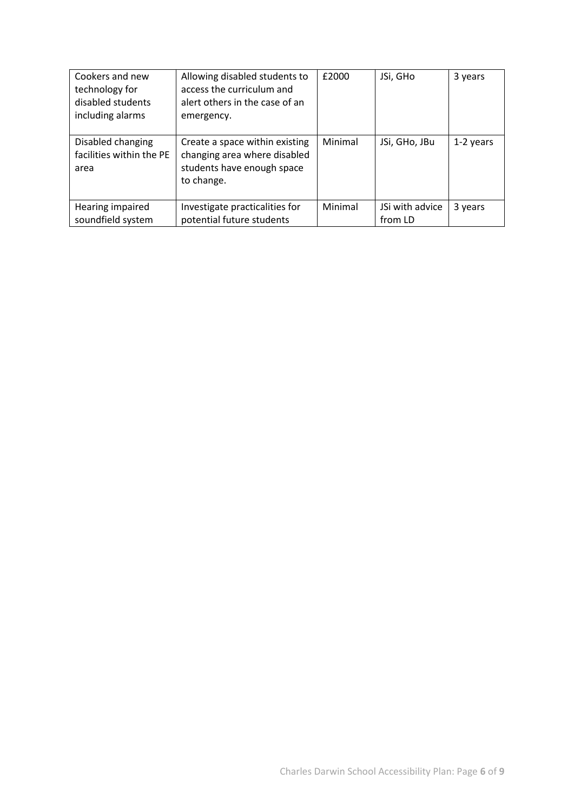| Cookers and new<br>technology for<br>disabled students<br>including alarms | Allowing disabled students to<br>access the curriculum and<br>alert others in the case of an<br>emergency. | £2000   | JSi, GHo                   | 3 years   |
|----------------------------------------------------------------------------|------------------------------------------------------------------------------------------------------------|---------|----------------------------|-----------|
| Disabled changing<br>facilities within the PE<br>area                      | Create a space within existing<br>changing area where disabled<br>students have enough space<br>to change. | Minimal | JSi, GHo, JBu              | 1-2 years |
| Hearing impaired<br>soundfield system                                      | Investigate practicalities for<br>potential future students                                                | Minimal | JSi with advice<br>from LD | 3 years   |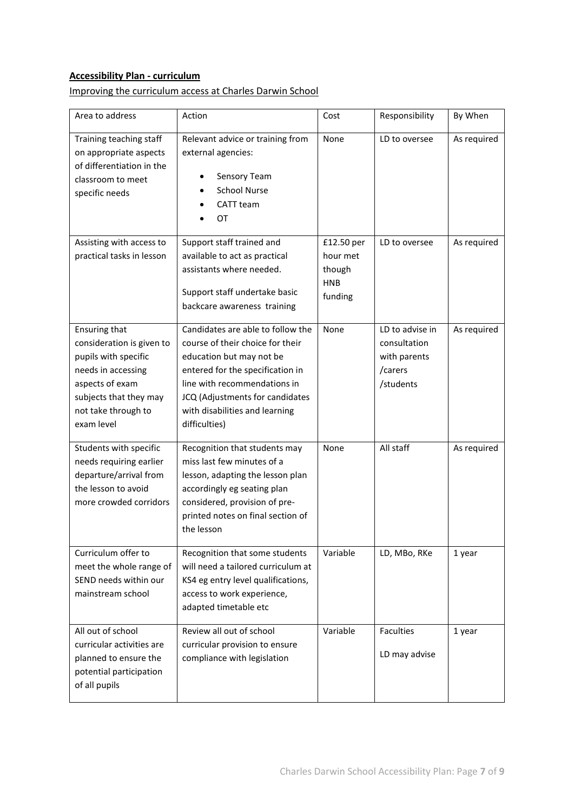# **Accessibility Plan - curriculum**

## Improving the curriculum access at Charles Darwin School

| Area to address                                                                                                                                                                   | Action                                                                                                                                                                                                                                                      | Cost                                                      | Responsibility                                                          | By When     |
|-----------------------------------------------------------------------------------------------------------------------------------------------------------------------------------|-------------------------------------------------------------------------------------------------------------------------------------------------------------------------------------------------------------------------------------------------------------|-----------------------------------------------------------|-------------------------------------------------------------------------|-------------|
| Training teaching staff<br>on appropriate aspects<br>of differentiation in the<br>classroom to meet<br>specific needs                                                             | Relevant advice or training from<br>external agencies:<br>Sensory Team<br><b>School Nurse</b><br>CATT team<br>OT                                                                                                                                            | None                                                      | LD to oversee                                                           | As required |
| Assisting with access to<br>practical tasks in lesson                                                                                                                             | Support staff trained and<br>available to act as practical<br>assistants where needed.<br>Support staff undertake basic<br>backcare awareness training                                                                                                      | £12.50 per<br>hour met<br>though<br><b>HNB</b><br>funding | LD to oversee                                                           | As required |
| <b>Ensuring that</b><br>consideration is given to<br>pupils with specific<br>needs in accessing<br>aspects of exam<br>subjects that they may<br>not take through to<br>exam level | Candidates are able to follow the<br>course of their choice for their<br>education but may not be<br>entered for the specification in<br>line with recommendations in<br>JCQ (Adjustments for candidates<br>with disabilities and learning<br>difficulties) | None                                                      | LD to advise in<br>consultation<br>with parents<br>/carers<br>/students | As required |
| Students with specific<br>needs requiring earlier<br>departure/arrival from<br>the lesson to avoid<br>more crowded corridors                                                      | Recognition that students may<br>miss last few minutes of a<br>lesson, adapting the lesson plan<br>accordingly eg seating plan<br>considered, provision of pre-<br>printed notes on final section of<br>the lesson                                          | None                                                      | All staff                                                               | As required |
| Curriculum offer to<br>meet the whole range of<br>SEND needs within our<br>mainstream school                                                                                      | Recognition that some students<br>will need a tailored curriculum at<br>KS4 eg entry level qualifications,<br>access to work experience,<br>adapted timetable etc                                                                                           | Variable                                                  | LD, MBo, RKe                                                            | 1 year      |
| All out of school<br>curricular activities are<br>planned to ensure the<br>potential participation<br>of all pupils                                                               | Review all out of school<br>curricular provision to ensure<br>compliance with legislation                                                                                                                                                                   | Variable                                                  | <b>Faculties</b><br>LD may advise                                       | 1 year      |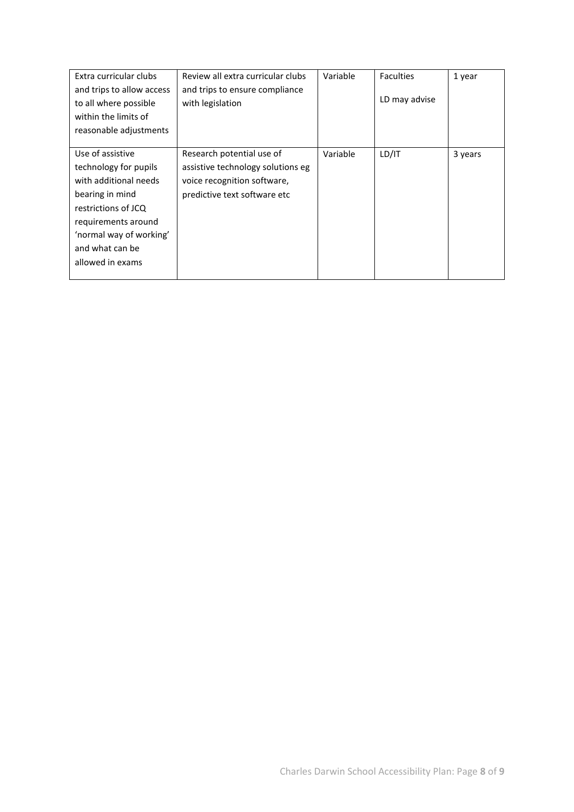| Extra curricular clubs    | Review all extra curricular clubs | Variable | <b>Faculties</b> | 1 year  |
|---------------------------|-----------------------------------|----------|------------------|---------|
| and trips to allow access | and trips to ensure compliance    |          |                  |         |
| to all where possible     | with legislation                  |          | LD may advise    |         |
| within the limits of      |                                   |          |                  |         |
| reasonable adjustments    |                                   |          |                  |         |
|                           |                                   |          |                  |         |
| Use of assistive          | Research potential use of         | Variable | LD/IT            | 3 years |
| technology for pupils     | assistive technology solutions eg |          |                  |         |
| with additional needs     | voice recognition software,       |          |                  |         |
| bearing in mind           | predictive text software etc      |          |                  |         |
| restrictions of JCQ       |                                   |          |                  |         |
| requirements around       |                                   |          |                  |         |
| 'normal way of working'   |                                   |          |                  |         |
| and what can be           |                                   |          |                  |         |
| allowed in exams          |                                   |          |                  |         |
|                           |                                   |          |                  |         |